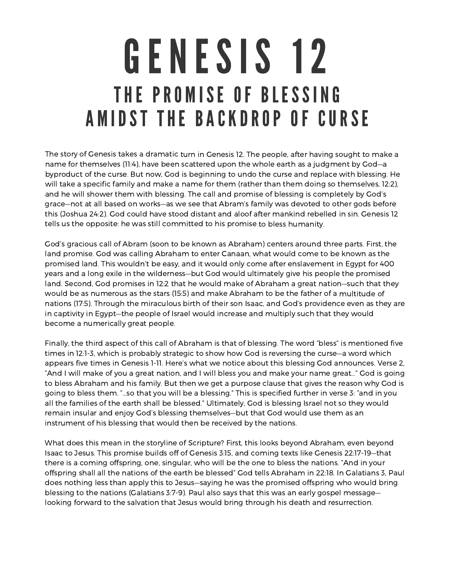## GENESIS 12 THE PROMISE OF BLESSING AMIDST THE BACKDROP OF CURSE

The story of Genesis takes <sup>a</sup> dramatic turn in Genesis 12. The people, after having sought to make <sup>a</sup> name for themselves (11:4), have been scattered upon the whole earth as <sup>a</sup> judgment by God—a byproduct of the curse. But now, God is beginning to undo the curse and replace with blessing. He will take <sup>a</sup> specific family and make <sup>a</sup> name for them (rather than them doing so themselves, 12:2), and he will shower them with blessing. The call and promise of blessing is completely by God's grace—not at all based on works—as we see that Abram's family was devoted to other gods before this (Joshua 24:2). God could have stood distant and aloof after mankind rebelled in sin. Genesis 12 tells us the opposite: he was still committed to his promise to bless humanity.

God's gracious call of Abram (soon to be known as Abraham) centers around three parts. First, the land promise. God was calling Abraham to enter Canaan, what would come to be known as the promised land. This wouldn't be easy, and it would only come after enslavement in Egypt for 400 years and <sup>a</sup> long exile in the wilderness—but God would ultimately give his people the promised land. Second, God promises in 12:2 that he would make of Abraham <sup>a</sup> great nation—such that they would be as numerous as the stars (15:5) and make Abraham to be the father of <sup>a</sup> multitude of nations (17:5). Through the miraculous birth of their son Isaac, and God's providence even as they are in captivity in Egypt—the people of Israel would increase and multiply such that they would become <sup>a</sup> numerically great people.

Finally, the third aspect of this call of Abraham is that of blessing. The word "bless" is mentioned five times in 12:1-3, which is probably strategic to show how God is reversing the curse—a word which appears five times in Genesis 1-11. Here's what we notice about this blessing God announces. Verse 2, "And I will make of you <sup>a</sup> great nation, and I will bless you and make your name great…" God is going to bless Abraham and his family. But then we get <sup>a</sup> purpose clause that gives the reason why God is going to bless them. "…so that you will be <sup>a</sup> blessing." This is specified further in verse 3: "and in you all the families of the earth shall be blessed." Ultimately, God is blessing Israel not so they would remain insular and enjoy God's blessing themselves—but that God would use them as an instrument of his blessing that would then be received by the nations.

What does this mean in the storyline of Scripture? First, this looks beyond Abraham, even beyond Isaac to Jesus. This promise builds off of Genesis 3:15, and coming texts like Genesis 22:17-19—that there is <sup>a</sup> coming offspring, one, singular, who will be the one to bless the nations. "And in your offspring shall all the nations of the earth be blessed" God tells Abraham in 22:18. In Galatians 3, Paul does nothing less than apply this to Jesus—saying he was the promised offspring who would bring blessing to the nations (Galatians 3:7-9). Paul also says that this was an early gospel message looking forward to the salvation that Jesus would bring through his death and resurrection.